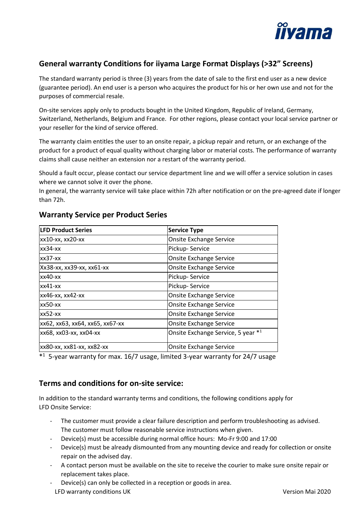

# **General warranty Conditions for iiyama Large Format Displays (>32" Screens)**

The standard warranty period is three (3) years from the date of sale to the first end user as a new device (guarantee period). An end user is a person who acquires the product for his or her own use and not for the purposes of commercial resale.

On-site services apply only to products bought in the United Kingdom, Republic of Ireland, Germany, Switzerland, Netherlands, Belgium and France. For other regions, please contact your local service partner or your reseller for the kind of service offered.

The warranty claim entitles the user to an onsite repair, a pickup repair and return, or an exchange of the product for a product of equal quality without charging labor or material costs. The performance of warranty claims shall cause neither an extension nor a restart of the warranty period.

Should a fault occur, please contact our service department line and we will offer a service solution in cases where we cannot solve it over the phone.

In general, the warranty service will take place within 72h after notification or on the pre-agreed date if longer than 72h.

| <b>LFD Product Series</b>       | Service Type                       |
|---------------------------------|------------------------------------|
| xx10-xx, xx20-xx                | <b>Onsite Exchange Service</b>     |
| $xx34-xx$                       | Pickup-Service                     |
| $xx37-xx$                       | Onsite Exchange Service            |
| Xx38-xx, xx39-xx, xx61-xx       | Onsite Exchange Service            |
| $x \times 40 - x \times$        | Pickup-Service                     |
| $xx41-xx$                       | Pickup-Service                     |
| xx46-xx, xx42-xx                | <b>Onsite Exchange Service</b>     |
| $x \times 50 - x \times$        | <b>Onsite Exchange Service</b>     |
| $xx52-xx$                       | <b>Onsite Exchange Service</b>     |
| xx62, xx63, xx64, xx65, xx67-xx | <b>Onsite Exchange Service</b>     |
| xx68, xx03-xx, xx04-xx          | Onsite Exchange Service, 5 year *1 |
| xx80-xx, xx81-xx, xx82-xx       | <b>Onsite Exchange Service</b>     |

### **Warranty Service per Product Series**

\* <sup>1</sup>5-year warranty for max. 16/7 usage, limited 3-year warranty for 24/7 usage

## **Terms and conditions for on-site service:**

In addition to the standard warranty terms and conditions, the following conditions apply for LFD Onsite Service:

- The customer must provide a clear failure description and perform troubleshooting as advised. The customer must follow reasonable service instructions when given.
- Device(s) must be accessible during normal office hours: Mo-Fr 9:00 and 17:00
- Device(s) must be already dismounted from any mounting device and ready for collection or onsite repair on the advised day.
- A contact person must be available on the site to receive the courier to make sure onsite repair or replacement takes place.
- LFD warranty conditions UK Version Mai 2020 Device(s) can only be collected in a reception or goods in area.